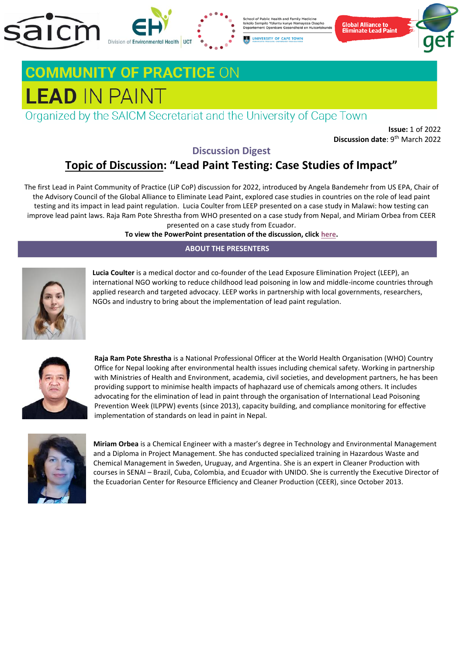

School of Public Health and Family Medicine Isikolo Sempilo Yoluntu kunye Namayeza Osapho<br>Departement Openbare Gesondheid en Huisartskunde

UNIVERSITY OF CAPE TOWN



# **COMMUNITY OF PRACTICE ON LEAD IN PAINT**

Organized by the SAICM Secretariat and the University of Cape Town

**Issue:** 1 of 2022 **Discussion date**: 9<sup>th</sup> March 2022

## **Discussion Digest**

## **Topic of Discussion: "Lead Paint Testing: Case Studies of Impact"**

The first Lead in Paint Community of Practice (LiP CoP) discussion for 2022, introduced by Angela Bandemehr from US EPA, Chair of the Advisory Council of the Global Alliance to Eliminate Lead Paint, explored case studies in countries on the role of lead paint testing and its impact in lead paint regulation. Lucia Coulter from LEEP presented on a case study in Malawi: how testing can improve lead paint laws. Raja Ram Pote Shrestha from WHO presented on a case study from Nepal, and Miriam Orbea from CEER presented on a case study from Ecuador.

**To view the PowerPoint presentation of the discussion, clic[k here.](https://eur01.safelinks.protection.outlook.com/?url=https%3A%2F%2Fprotect-za.mimecast.com%2Fs%2FRmg-CwjyBrSm1wlMcVvxbb&data=04%7C01%7Ctsheun003%40myuct.ac.za%7C145a0fcad0c14bca997d08da1e04ddc6%7C92454335564e4ccfb0b024445b8c03f7%7C0%7C0%7C637855303514604317%7CUnknown%7CTWFpbGZsb3d8eyJWIjoiMC4wLjAwMDAiLCJQIjoiV2luMzIiLCJBTiI6Ik1haWwiLCJXVCI6Mn0%3D%7C3000&sdata=49s2ZvemTcSAII8XrgsRp4r9GsI%2BRt%2B%2FKpKKa4e3q0k%3D&reserved=0)**

### **ABOUT THE PRESENTERS**



**Lucia Coulter** is a medical doctor and co-founder of the Lead Exposure Elimination Project (LEEP), an international NGO working to reduce childhood lead poisoning in low and middle-income countries through applied research and targeted advocacy. LEEP works in partnership with local governments, researchers, NGOs and industry to bring about the implementation of lead paint regulation.



**Raja Ram Pote Shrestha** is a National Professional Officer at the World Health Organisation (WHO) Country Office for Nepal looking after environmental health issues including chemical safety. Working in partnership with Ministries of Health and Environment, academia, civil societies, and development partners, he has been providing support to minimise health impacts of haphazard use of chemicals among others. It includes advocating for the elimination of lead in paint through the organisation of International Lead Poisoning Prevention Week (ILPPW) events (since 2013), capacity building, and compliance monitoring for effective implementation of standards on lead in paint in Nepal.



**Miriam Orbea** is a Chemical Engineer with a master's degree in Technology and Environmental Management and a Diploma in Project Management. She has conducted specialized training in Hazardous Waste and Chemical Management in Sweden, Uruguay, and Argentina. She is an expert in Cleaner Production with courses in SENAI – Brazil, Cuba, Colombia, and Ecuador with UNIDO. She is currently the Executive Director of the Ecuadorian Center for Resource Efficiency and Cleaner Production (CEER), since October 2013.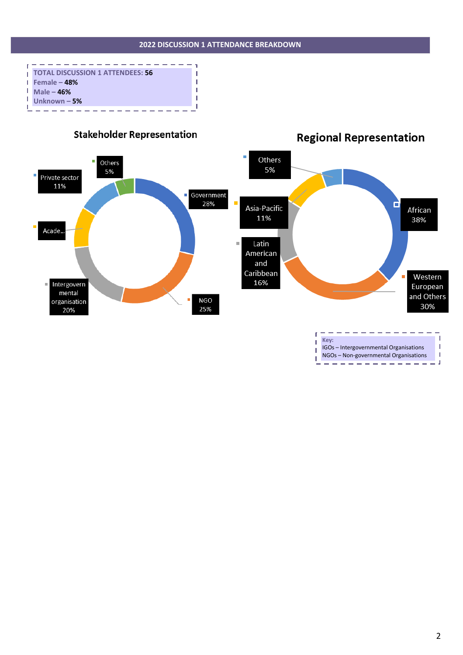



## **Regional Representation**

IGOs – Intergovernmental Organisations NGOs – Non-governmental Organisations

I.

I.

J.

 $\overline{\phantom{a}}$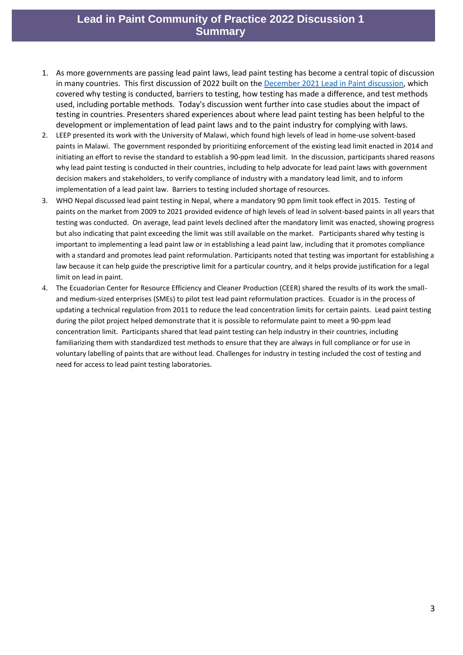## **Lead in Paint Community of Practice 2022 Discussion 1 Summary**

- 1. As more governments are passing lead paint laws, lead paint testing has become a central topic of discussion in many countries. This first discussion of 2022 built on the [December 2021 Lead in Paint discussion,](https://saicmknowledge.org/event/online-discussion-there-lead-my-paint-all-about-testing-and-labs) which covered why testing is conducted, barriers to testing, how testing has made a difference, and test methods used, including portable methods. Today's discussion went further into case studies about the impact of testing in countries. Presenters shared experiences about where lead paint testing has been helpful to the development or implementation of lead paint laws and to the paint industry for complying with laws.
- 2. LEEP presented its work with the University of Malawi, which found high levels of lead in home-use solvent-based paints in Malawi. The government responded by prioritizing enforcement of the existing lead limit enacted in 2014 and initiating an effort to revise the standard to establish a 90-ppm lead limit. In the discussion, participants shared reasons why lead paint testing is conducted in their countries, including to help advocate for lead paint laws with government decision makers and stakeholders, to verify compliance of industry with a mandatory lead limit, and to inform implementation of a lead paint law. Barriers to testing included shortage of resources.
- 3. WHO Nepal discussed lead paint testing in Nepal, where a mandatory 90 ppm limit took effect in 2015. Testing of paints on the market from 2009 to 2021 provided evidence of high levels of lead in solvent-based paints in all years that testing was conducted. On average, lead paint levels declined after the mandatory limit was enacted, showing progress but also indicating that paint exceeding the limit was still available on the market. Participants shared why testing is important to implementing a lead paint law or in establishing a lead paint law, including that it promotes compliance with a standard and promotes lead paint reformulation. Participants noted that testing was important for establishing a law because it can help guide the prescriptive limit for a particular country, and it helps provide justification for a legal limit on lead in paint.
- 4. The Ecuadorian Center for Resource Efficiency and Cleaner Production (CEER) shared the results of its work the smalland medium-sized enterprises (SMEs) to pilot test lead paint reformulation practices. Ecuador is in the process of updating a technical regulation from 2011 to reduce the lead concentration limits for certain paints. Lead paint testing during the pilot project helped demonstrate that it is possible to reformulate paint to meet a 90-ppm lead concentration limit. Participants shared that lead paint testing can help industry in their countries, including familiarizing them with standardized test methods to ensure that they are always in full compliance or for use in voluntary labelling of paints that are without lead. Challenges for industry in testing included the cost of testing and need for access to lead paint testing laboratories.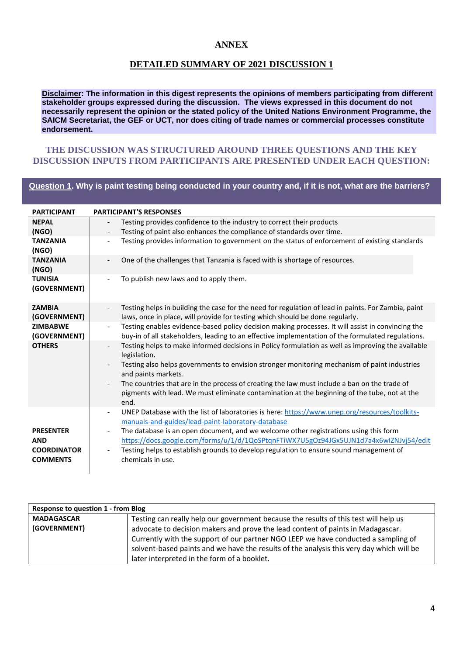### **ANNEX**

### **DETAILED SUMMARY OF 2021 DISCUSSION 1**

**Disclaimer: The information in this digest represents the opinions of members participating from different stakeholder groups expressed during the discussion. The views expressed in this document do not necessarily represent the opinion or the stated policy of the United Nations Environment Programme, the SAICM Secretariat, the GEF or UCT, nor does citing of trade names or commercial processes constitute endorsement.**

### **THE DISCUSSION WAS STRUCTURED AROUND THREE QUESTIONS AND THE KEY DISCUSSION INPUTS FROM PARTICIPANTS ARE PRESENTED UNDER EACH QUESTION:**

### **Question 1. Why is paint testing being conducted in your country and, if it is not, what are the barriers?**

| <b>PARTICIPANT</b>                                                      | <b>PARTICIPANT'S RESPONSES</b>                                                                                                                                                                                                                                                                                                                                                                                                                                                                             |
|-------------------------------------------------------------------------|------------------------------------------------------------------------------------------------------------------------------------------------------------------------------------------------------------------------------------------------------------------------------------------------------------------------------------------------------------------------------------------------------------------------------------------------------------------------------------------------------------|
| <b>NEPAL</b>                                                            | Testing provides confidence to the industry to correct their products                                                                                                                                                                                                                                                                                                                                                                                                                                      |
| (NGO)                                                                   | Testing of paint also enhances the compliance of standards over time.                                                                                                                                                                                                                                                                                                                                                                                                                                      |
| <b>TANZANIA</b><br>(NGO)                                                | Testing provides information to government on the status of enforcement of existing standards                                                                                                                                                                                                                                                                                                                                                                                                              |
| <b>TANZANIA</b><br>(NGO)                                                | One of the challenges that Tanzania is faced with is shortage of resources.                                                                                                                                                                                                                                                                                                                                                                                                                                |
| <b>TUNISIA</b><br>(GOVERNMENT)                                          | To publish new laws and to apply them.                                                                                                                                                                                                                                                                                                                                                                                                                                                                     |
| <b>ZAMBIA</b><br>(GOVERNMENT)                                           | Testing helps in building the case for the need for regulation of lead in paints. For Zambia, paint<br>laws, once in place, will provide for testing which should be done regularly.                                                                                                                                                                                                                                                                                                                       |
| <b>ZIMBABWE</b><br>(GOVERNMENT)                                         | Testing enables evidence-based policy decision making processes. It will assist in convincing the<br>buy-in of all stakeholders, leading to an effective implementation of the formulated regulations.                                                                                                                                                                                                                                                                                                     |
| <b>OTHERS</b>                                                           | Testing helps to make informed decisions in Policy formulation as well as improving the available<br>$\overline{\phantom{0}}$<br>legislation.<br>Testing also helps governments to envision stronger monitoring mechanism of paint industries<br>and paints markets.<br>The countries that are in the process of creating the law must include a ban on the trade of<br>pigments with lead. We must eliminate contamination at the beginning of the tube, not at the<br>end.                               |
| <b>PRESENTER</b><br><b>AND</b><br><b>COORDINATOR</b><br><b>COMMENTS</b> | UNEP Database with the list of laboratories is here: https://www.unep.org/resources/toolkits-<br>$\overline{\phantom{a}}$<br>manuals-and-guides/lead-paint-laboratory-database<br>The database is an open document, and we welcome other registrations using this form<br>$\overline{\phantom{a}}$<br>https://docs.google.com/forms/u/1/d/1QoSPtqnFTiWX7U5gOz94JGx5UJN1d7a4x6wIZNJvj54/edit<br>Testing helps to establish grounds to develop regulation to ensure sound management of<br>chemicals in use. |

| <b>Response to question 1 - from Blog</b> |                                                                                          |  |  |  |
|-------------------------------------------|------------------------------------------------------------------------------------------|--|--|--|
| <b>MADAGASCAR</b>                         | Testing can really help our government because the results of this test will help us     |  |  |  |
| (GOVERNMENT)                              | advocate to decision makers and prove the lead content of paints in Madagascar.          |  |  |  |
|                                           | Currently with the support of our partner NGO LEEP we have conducted a sampling of       |  |  |  |
|                                           | solvent-based paints and we have the results of the analysis this very day which will be |  |  |  |
|                                           | later interpreted in the form of a booklet.                                              |  |  |  |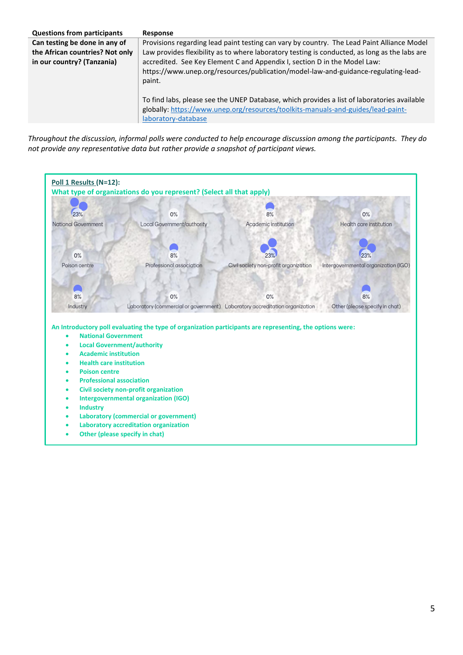| <b>Questions from participants</b> | Response                                                                                                                                                                                               |
|------------------------------------|--------------------------------------------------------------------------------------------------------------------------------------------------------------------------------------------------------|
| Can testing be done in any of      | Provisions regarding lead paint testing can vary by country. The Lead Paint Alliance Model                                                                                                             |
| the African countries? Not only    | Law provides flexibility as to where laboratory testing is conducted, as long as the labs are                                                                                                          |
| in our country? (Tanzania)         | accredited. See Key Element C and Appendix I, section D in the Model Law:<br>https://www.unep.org/resources/publication/model-law-and-guidance-regulating-lead-<br>paint.                              |
|                                    | To find labs, please see the UNEP Database, which provides a list of laboratories available<br>globally: https://www.unep.org/resources/toolkits-manuals-and-guides/lead-paint-<br>laboratory-database |

*Throughout the discussion, informal polls were conducted to help encourage discussion among the participants. They do not provide any representative data but rather provide a snapshot of participant views.*

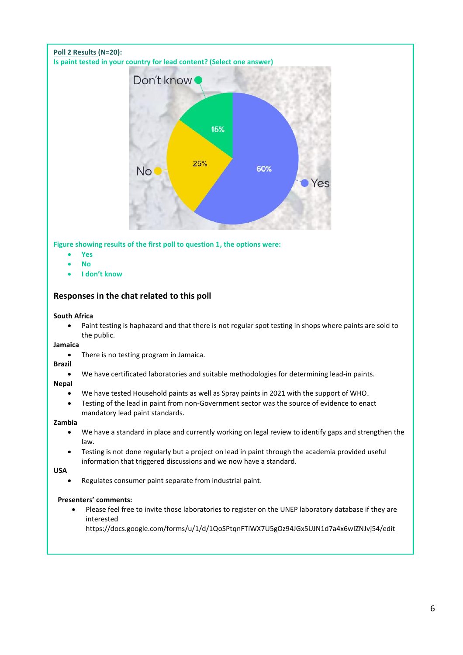### **Poll 2 Results (N=20): Is paint tested in your country for lead content? (Select one answer)**



**Figure showing results of the first poll to question 1, the options were:**

- **Yes**
- **No**
- **I don't know**

### **Responses in the chat related to this poll**

### **South Africa**

• Paint testing is haphazard and that there is not regular spot testing in shops where paints are sold to the public.

### **Jamaica**

• There is no testing program in Jamaica.

### **Brazil**

• We have certificated laboratories and suitable methodologies for determining lead-in paints.

### **Nepal**

- We have tested Household paints as well as Spray paints in 2021 with the support of WHO.
- Testing of the lead in paint from non-Government sector was the source of evidence to enact mandatory lead paint standards.

### **Zambia**

- We have a standard in place and currently working on legal review to identify gaps and strengthen the law.
- Testing is not done regularly but a project on lead in paint through the academia provided useful information that triggered discussions and we now have a standard.

### **USA**

• Regulates consumer paint separate from industrial paint.

### **Presenters' comments:**

• Please feel free to invite those laboratories to register on the UNEP laboratory database if they are interested

<https://docs.google.com/forms/u/1/d/1QoSPtqnFTiWX7U5gOz94JGx5UJN1d7a4x6wIZNJvj54/edit>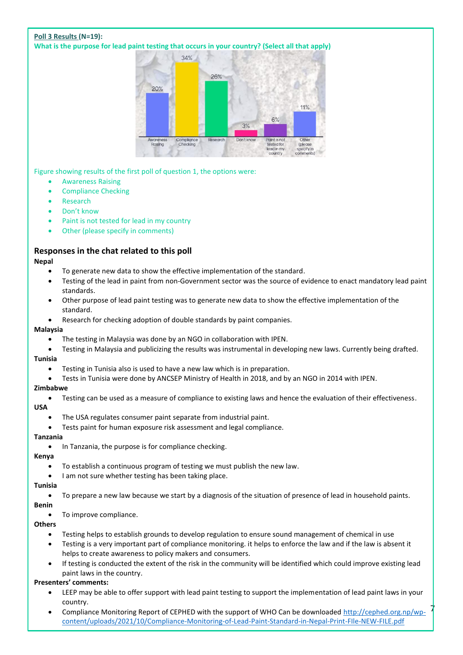### **Poll 3 Results (N=19):**

**What is the purpose for lead paint testing that occurs in your country? (Select all that apply)**



Figure showing results of the first poll of question 1, the options were:

- Awareness Raising
- Compliance Checking
- **Research**
- Don't know
- Paint is not tested for lead in my country
- Other (please specify in comments)

### **Responses in the chat related to this poll**

### **Nepal**

- To generate new data to show the effective implementation of the standard.
- Testing of the lead in paint from non-Government sector was the source of evidence to enact mandatory lead paint standards.
- Other purpose of lead paint testing was to generate new data to show the effective implementation of the standard.
- Research for checking adoption of double standards by paint companies.

### **Malaysia**

- The testing in Malaysia was done by an NGO in collaboration with IPEN.
- Testing in Malaysia and publicizing the results was instrumental in developing new laws. Currently being drafted. **Tunisia**
	- Testing in Tunisia also is used to have a new law which is in preparation.
	- Tests in Tunisia were done by ANCSEP Ministry of Health in 2018, and by an NGO in 2014 with IPEN.

### **Zimbabwe**

• Testing can be used as a measure of compliance to existing laws and hence the evaluation of their effectiveness.

### **USA**

- The USA regulates consumer paint separate from industrial paint.
- Tests paint for human exposure risk assessment and legal compliance.

### **Tanzania**

• In Tanzania, the purpose is for compliance checking.

### **Kenya**

- To establish a continuous program of testing we must publish the new law.
- I am not sure whether testing has been taking place.

### **Tunisia**

• To prepare a new law because we start by a diagnosis of the situation of presence of lead in household paints.

### **Benin**

To improve compliance.

### **Others**

- Testing helps to establish grounds to develop regulation to ensure sound management of chemical in use
- Testing is a very important part of compliance monitoring. it helps to enforce the law and if the law is absent it helps to create awareness to policy makers and consumers.
- If testing is conducted the extent of the risk in the community will be identified which could improve existing lead paint laws in the country.

### **Presenters' comments:**

- LEEP may be able to offer support with lead paint testing to support the implementation of lead paint laws in your country.
- Compliance Monitoring Report of CEPHED with the support of WHO Can be downloaded [http://cephed.org.np/wp](http://cephed.org.np/wp-content/uploads/2021/10/Compliance-Monitoring-of-Lead-Paint-Standard-in-Nepal-Print-FIle-NEW-FILE.pdf)[content/uploads/2021/10/Compliance-Monitoring-of-Lead-Paint-Standard-in-Nepal-Print-FIle-NEW-FILE.pdf](http://cephed.org.np/wp-content/uploads/2021/10/Compliance-Monitoring-of-Lead-Paint-Standard-in-Nepal-Print-FIle-NEW-FILE.pdf)

7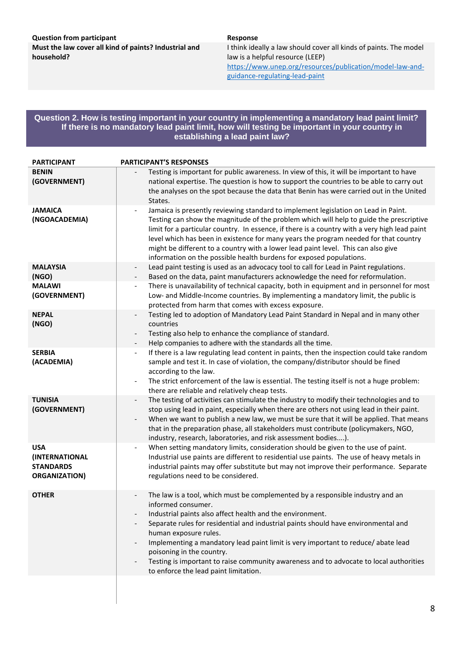### **Question from participant Response Response Must the law cover all kind of paints? Industrial and**

**household?**

I think ideally a law should cover all kinds of paints. The model law is a helpful resource (LEEP) [https://www.unep.org/resources/publication/model-law-and](https://www.unep.org/resources/publication/model-law-and-guidance-regulating-lead-paint)[guidance-regulating-lead-paint](https://www.unep.org/resources/publication/model-law-and-guidance-regulating-lead-paint)

### **Question 2. How is testing important in your country in implementing a mandatory lead paint limit? If there is no mandatory lead paint limit, how will testing be important in your country in establishing a lead paint law?**

| <b>PARTICIPANT</b>                                                       | <b>PARTICIPANT'S RESPONSES</b>                                                                                                                                                                                                                                                                                                                                                                                                                                                                                                                                 |  |  |  |  |
|--------------------------------------------------------------------------|----------------------------------------------------------------------------------------------------------------------------------------------------------------------------------------------------------------------------------------------------------------------------------------------------------------------------------------------------------------------------------------------------------------------------------------------------------------------------------------------------------------------------------------------------------------|--|--|--|--|
| <b>BENIN</b><br>(GOVERNMENT)                                             | Testing is important for public awareness. In view of this, it will be important to have<br>national expertise. The question is how to support the countries to be able to carry out<br>the analyses on the spot because the data that Benin has were carried out in the United<br>States.                                                                                                                                                                                                                                                                     |  |  |  |  |
| <b>JAMAICA</b><br>(NGOACADEMIA)                                          | Jamaica is presently reviewing standard to implement legislation on Lead in Paint.<br>$\overline{\phantom{a}}$<br>Testing can show the magnitude of the problem which will help to guide the prescriptive<br>limit for a particular country. In essence, if there is a country with a very high lead paint<br>level which has been in existence for many years the program needed for that country<br>might be different to a country with a lower lead paint level. This can also give<br>information on the possible health burdens for exposed populations. |  |  |  |  |
| <b>MALAYSIA</b><br>(NGO)<br><b>MALAWI</b><br>(GOVERNMENT)                | Lead paint testing is used as an advocacy tool to call for Lead in Paint regulations.<br>Based on the data, paint manufacturers acknowledge the need for reformulation.<br>$\overline{\phantom{a}}$<br>There is unavailability of technical capacity, both in equipment and in personnel for most<br>Low- and Middle-Income countries. By implementing a mandatory limit, the public is                                                                                                                                                                        |  |  |  |  |
| <b>NEPAL</b><br>(NGO)                                                    | protected from harm that comes with excess exposure.<br>Testing led to adoption of Mandatory Lead Paint Standard in Nepal and in many other<br>countries<br>Testing also help to enhance the compliance of standard.<br>$\overline{\phantom{a}}$<br>Help companies to adhere with the standards all the time.                                                                                                                                                                                                                                                  |  |  |  |  |
| <b>SERBIA</b><br>(ACADEMIA)                                              | If there is a law regulating lead content in paints, then the inspection could take random<br>$\overline{\phantom{a}}$<br>sample and test it. In case of violation, the company/distributor should be fined<br>according to the law.<br>The strict enforcement of the law is essential. The testing itself is not a huge problem:<br>$\qquad \qquad -$<br>there are reliable and relatively cheap tests.                                                                                                                                                       |  |  |  |  |
| <b>TUNISIA</b><br>(GOVERNMENT)                                           | The testing of activities can stimulate the industry to modify their technologies and to<br>$\overline{\phantom{a}}$<br>stop using lead in paint, especially when there are others not using lead in their paint.<br>When we want to publish a new law, we must be sure that it will be applied. That means<br>$\overline{\phantom{a}}$<br>that in the preparation phase, all stakeholders must contribute (policymakers, NGO,<br>industry, research, laboratories, and risk assessment bodies).                                                               |  |  |  |  |
| <b>USA</b><br>(INTERNATIONAL<br><b>STANDARDS</b><br><b>ORGANIZATION)</b> | When setting mandatory limits, consideration should be given to the use of paint.<br>$\overline{\phantom{a}}$<br>Industrial use paints are different to residential use paints. The use of heavy metals in<br>industrial paints may offer substitute but may not improve their performance. Separate<br>regulations need to be considered.                                                                                                                                                                                                                     |  |  |  |  |
| <b>OTHER</b>                                                             | The law is a tool, which must be complemented by a responsible industry and an<br>informed consumer.<br>Industrial paints also affect health and the environment.<br>Separate rules for residential and industrial paints should have environmental and<br>human exposure rules.<br>Implementing a mandatory lead paint limit is very important to reduce/abate lead<br>poisoning in the country.<br>Testing is important to raise community awareness and to advocate to local authorities<br>to enforce the lead paint limitation.                           |  |  |  |  |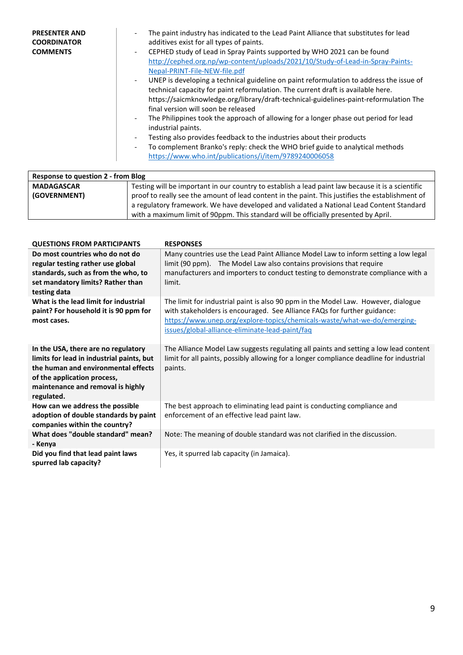| <b>PRESENTER AND</b><br><b>COORDINATOR</b><br><b>COMMENTS</b> | The paint industry has indicated to the Lead Paint Alliance that substitutes for lead<br>additives exist for all types of paints.<br>CEPHED study of Lead in Spray Paints supported by WHO 2021 can be found<br>$\overline{\phantom{0}}$<br>http://cephed.org.np/wp-content/uploads/2021/10/Study-of-Lead-in-Spray-Paints-<br>Nepal-PRINT-File-NEW-file.pdf<br>UNEP is developing a technical guideline on paint reformulation to address the issue of<br>technical capacity for paint reformulation. The current draft is available here.<br>https://saicmknowledge.org/library/draft-technical-guidelines-paint-reformulation The<br>final version will soon be released<br>The Philippines took the approach of allowing for a longer phase out period for lead<br>industrial paints.<br>Testing also provides feedback to the industries about their products<br>To complement Branko's reply: check the WHO brief guide to analytical methods<br>$\overline{\phantom{0}}$ |
|---------------------------------------------------------------|--------------------------------------------------------------------------------------------------------------------------------------------------------------------------------------------------------------------------------------------------------------------------------------------------------------------------------------------------------------------------------------------------------------------------------------------------------------------------------------------------------------------------------------------------------------------------------------------------------------------------------------------------------------------------------------------------------------------------------------------------------------------------------------------------------------------------------------------------------------------------------------------------------------------------------------------------------------------------------|
|                                                               | https://www.who.int/publications/i/item/9789240006058                                                                                                                                                                                                                                                                                                                                                                                                                                                                                                                                                                                                                                                                                                                                                                                                                                                                                                                          |

| Response to question 2 - from Blog                                                                               |                                                                                                   |  |  |
|------------------------------------------------------------------------------------------------------------------|---------------------------------------------------------------------------------------------------|--|--|
| <b>MADAGASCAR</b>                                                                                                | Testing will be important in our country to establish a lead paint law because it is a scientific |  |  |
| (GOVERNMENT)<br>proof to really see the amount of lead content in the paint. This justifies the establishment of |                                                                                                   |  |  |
|                                                                                                                  | a regulatory framework. We have developed and validated a National Lead Content Standard          |  |  |
|                                                                                                                  | with a maximum limit of 90ppm. This standard will be officially presented by April.               |  |  |

| <b>QUESTIONS FROM PARTICIPANTS</b>                                                                                                                                                                        | <b>RESPONSES</b>                                                                                                                                                                                                                                                                             |
|-----------------------------------------------------------------------------------------------------------------------------------------------------------------------------------------------------------|----------------------------------------------------------------------------------------------------------------------------------------------------------------------------------------------------------------------------------------------------------------------------------------------|
| Do most countries who do not do<br>regular testing rather use global<br>standards, such as from the who, to<br>set mandatory limits? Rather than<br>testing data                                          | Many countries use the Lead Paint Alliance Model Law to inform setting a low legal<br>limit (90 ppm). The Model Law also contains provisions that require<br>manufacturers and importers to conduct testing to demonstrate compliance with a<br>limit.                                       |
| What is the lead limit for industrial<br>paint? For household it is 90 ppm for<br>most cases.                                                                                                             | The limit for industrial paint is also 90 ppm in the Model Law. However, dialogue<br>with stakeholders is encouraged. See Alliance FAQs for further guidance:<br>https://www.unep.org/explore-topics/chemicals-waste/what-we-do/emerging-<br>issues/global-alliance-eliminate-lead-paint/faq |
| In the USA, there are no regulatory<br>limits for lead in industrial paints, but<br>the human and environmental effects<br>of the application process,<br>maintenance and removal is highly<br>regulated. | The Alliance Model Law suggests regulating all paints and setting a low lead content<br>limit for all paints, possibly allowing for a longer compliance deadline for industrial<br>paints.                                                                                                   |
| How can we address the possible<br>adoption of double standards by paint<br>companies within the country?                                                                                                 | The best approach to eliminating lead paint is conducting compliance and<br>enforcement of an effective lead paint law.                                                                                                                                                                      |
| What does "double standard" mean?<br>- Kenya                                                                                                                                                              | Note: The meaning of double standard was not clarified in the discussion.                                                                                                                                                                                                                    |
| Did you find that lead paint laws<br>spurred lab capacity?                                                                                                                                                | Yes, it spurred lab capacity (in Jamaica).                                                                                                                                                                                                                                                   |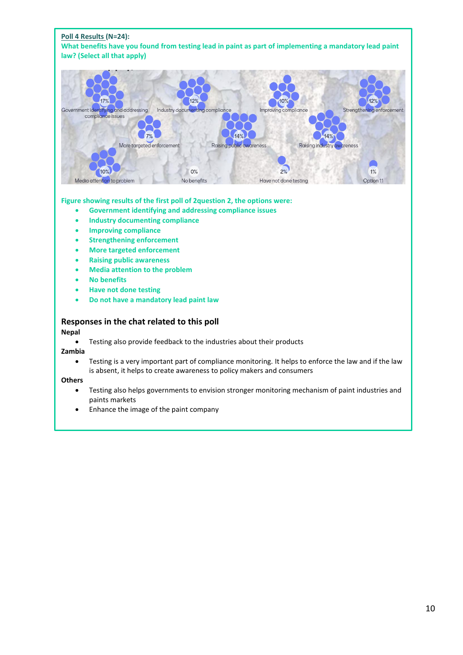

### **Figure showing results of the first poll of 2question 2, the options were:**

- **Government identifying and addressing compliance issues**
- **Industry documenting compliance**
- **Improving compliance**
- **Strengthening enforcement**
- **More targeted enforcement**
- **Raising public awareness**
- **Media attention to the problem**
- **No benefits**
- **Have not done testing**
- **Do not have a mandatory lead paint law**

### **Responses in the chat related to this poll**

### **Nepal**

• Testing also provide feedback to the industries about their products

**Zambia**

• Testing is a very important part of compliance monitoring. It helps to enforce the law and if the law is absent, it helps to create awareness to policy makers and consumers

**Others**

- Testing also helps governments to envision stronger monitoring mechanism of paint industries and paints markets
- Enhance the image of the paint company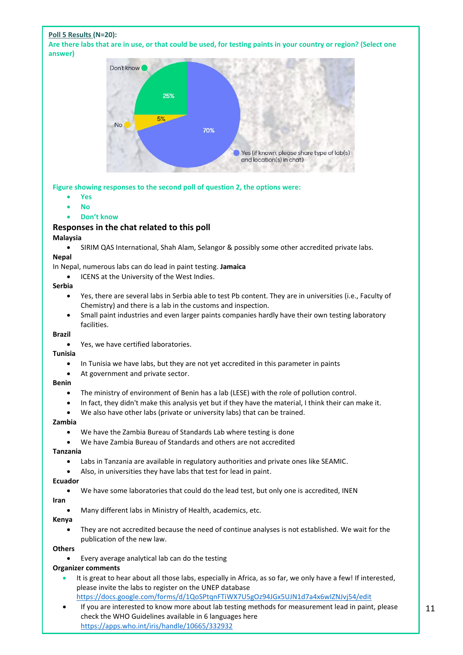### **Poll 5 Results (N=20):**

**Are there labs that are in use, or that could be used, for testing paints in your country or region? (Select one answer)**



**Figure showing responses to the second poll of question 2, the options were:**

- **Yes**
- **No**
- **Don't know**

### **Responses in the chat related to this poll**

### **Malaysia**

• SIRIM QAS International, Shah Alam, Selangor & possibly some other accredited private labs.

### **Nepal**

In Nepal, numerous labs can do lead in paint testing. **Jamaica**

ICENS at the University of the West Indies.

### **Serbia**

- Yes, there are several labs in Serbia able to test Pb content. They are in universities (i.e., Faculty of Chemistry) and there is a lab in the customs and inspection.
- Small paint industries and even larger paints companies hardly have their own testing laboratory facilities.

### **Brazil**

• Yes, we have certified laboratories.

### **Tunisia**

- In Tunisia we have labs, but they are not yet accredited in this parameter in paints
- At government and private sector.

### **Benin**

- The ministry of environment of Benin has a lab (LESE) with the role of pollution control.
- In fact, they didn't make this analysis yet but if they have the material, I think their can make it.
- We also have other labs (private or university labs) that can be trained.

### **Zambia**

- We have the Zambia Bureau of Standards Lab where testing is done
- We have Zambia Bureau of Standards and others are not accredited

### **Tanzania**

- Labs in Tanzania are available in regulatory authorities and private ones like SEAMIC.
- Also, in universities they have labs that test for lead in paint.

### **Ecuador**

We have some laboratories that could do the lead test, but only one is accredited, INEN

### **Iran**

• Many different labs in Ministry of Health, academics, etc.

### **Kenya**

• They are not accredited because the need of continue analyses is not established. We wait for the publication of the new law.

### **Others**

• Every average analytical lab can do the testing

### **Organizer comments**

It is great to hear about all those labs, especially in Africa, as so far, we only have a few! If interested, please invite the labs to register on the UNEP database

```
https://docs.google.com/forms/d/1QoSPtqnFTiWX7U5gOz94JGx5UJN1d7a4x6wIZNJvj54/edit
```
• If you are interested to know more about lab testing methods for measurement lead in paint, please check the WHO Guidelines available in 6 languages here <https://apps.who.int/iris/handle/10665/332932>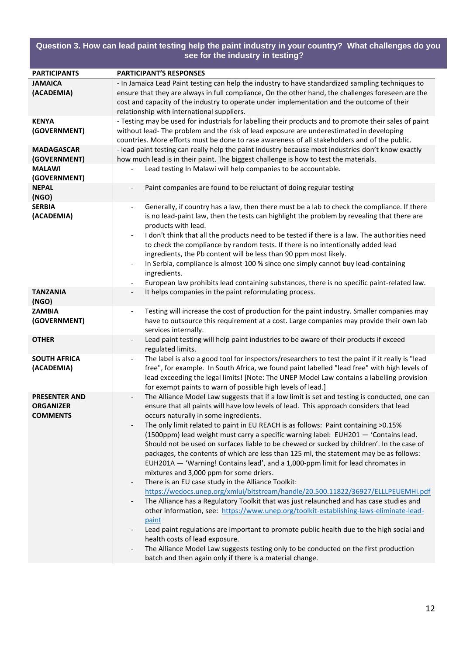### **PARTICIPANTS PARTICIPANT'S RESPONSES JAMAICA (ACADEMIA)** - In Jamaica Lead Paint testing can help the industry to have standardized sampling techniques to ensure that they are always in full compliance, On the other hand, the challenges foreseen are the cost and capacity of the industry to operate under implementation and the outcome of their relationship with international suppliers. **KENYA (GOVERNMENT)** - Testing may be used for industrials for labelling their products and to promote their sales of paint without lead- The problem and the risk of lead exposure are underestimated in developing countries. More efforts must be done to rase awareness of all stakeholders and of the public. **MADAGASCAR (GOVERNMENT)** - lead paint testing can really help the paint industry because most industries don't know exactly how much lead is in their paint. The biggest challenge is how to test the materials. **MALAWI (GOVERNMENT)** Lead testing In Malawi will help companies to be accountable. **NEPAL (NGO)** Paint companies are found to be reluctant of doing regular testing **SERBIA (ACADEMIA)** Generally, if country has a law, then there must be a lab to check the compliance. If there is no lead-paint law, then the tests can highlight the problem by revealing that there are products with lead. I don't think that all the products need to be tested if there is a law. The authorities need to check the compliance by random tests. If there is no intentionally added lead ingredients, the Pb content will be less than 90 ppm most likely. In Serbia, compliance is almost 100 % since one simply cannot buy lead-containing ingredients. - European law prohibits lead containing substances, there is no specific paint-related law. **TANZANIA (NGO)** It helps companies in the paint reformulating process. **ZAMBIA (GOVERNMENT)** Testing will increase the cost of production for the paint industry. Smaller companies may have to outsource this requirement at a cost. Large companies may provide their own lab services internally. **OTHER Example 2014** - Lead paint testing will help paint industries to be aware of their products if exceed regulated limits. **SOUTH AFRICA (ACADEMIA)** The label is also a good tool for inspectors/researchers to test the paint if it really is "lead free", for example. In South Africa, we found paint labelled "lead free" with high levels of lead exceeding the legal limits! [Note: The UNEP Model Law contains a labelling provision for exempt paints to warn of possible high levels of lead.] **PRESENTER AND ORGANIZER COMMENTS** The Alliance Model Law suggests that if a low limit is set and testing is conducted, one can ensure that all paints will have low levels of lead. This approach considers that lead occurs naturally in some ingredients. The only limit related to paint in EU REACH is as follows: Paint containing >0.15% (1500ppm) lead weight must carry a specific warning label: EUH201 — 'Contains lead. Should not be used on surfaces liable to be chewed or sucked by children'. In the case of packages, the contents of which are less than 125 ml, the statement may be as follows: EUH201A — 'Warning! Contains lead', and a 1,000-ppm limit for lead chromates in mixtures and 3,000 ppm for some driers. There is an EU case study in the Alliance Toolkit: <https://wedocs.unep.org/xmlui/bitstream/handle/20.500.11822/36927/ELLLPEUEMHi.pdf> The Alliance has a Regulatory Toolkit that was just relaunched and has case studies and other information, see: [https://www.unep.org/toolkit-establishing-laws-eliminate-lead](https://www.unep.org/toolkit-establishing-laws-eliminate-lead-paint)[paint](https://www.unep.org/toolkit-establishing-laws-eliminate-lead-paint) Lead paint regulations are important to promote public health due to the high social and health costs of lead exposure. The Alliance Model Law suggests testing only to be conducted on the first production batch and then again only if there is a material change. **Question 3. How can lead paint testing help the paint industry in your country? What challenges do you see for the industry in testing?**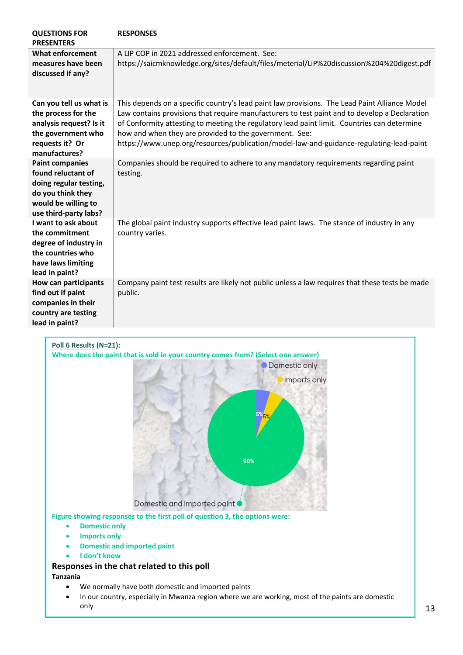| <b>QUESTIONS FOR</b><br><b>PRESENTERS</b>                                                                                                   | <b>RESPONSES</b>                                                                                                                                                                                                                                                                                                                                                                                                                                   |
|---------------------------------------------------------------------------------------------------------------------------------------------|----------------------------------------------------------------------------------------------------------------------------------------------------------------------------------------------------------------------------------------------------------------------------------------------------------------------------------------------------------------------------------------------------------------------------------------------------|
| <b>What enforcement</b><br>measures have been<br>discussed if any?                                                                          | A LIP COP in 2021 addressed enforcement. See:<br>https://saicmknowledge.org/sites/default/files/meterial/LiP%20discussion%204%20digest.pdf                                                                                                                                                                                                                                                                                                         |
| Can you tell us what is<br>the process for the<br>analysis request? Is it<br>the government who<br>requests it? Or<br>manufactures?         | This depends on a specific country's lead paint law provisions. The Lead Paint Alliance Model<br>Law contains provisions that require manufacturers to test paint and to develop a Declaration<br>of Conformity attesting to meeting the regulatory lead paint limit. Countries can determine<br>how and when they are provided to the government. See:<br>https://www.unep.org/resources/publication/model-law-and-guidance-regulating-lead-paint |
| <b>Paint companies</b><br>found reluctant of<br>doing regular testing,<br>do you think they<br>would be willing to<br>use third-party labs? | Companies should be required to adhere to any mandatory requirements regarding paint<br>testing.                                                                                                                                                                                                                                                                                                                                                   |
| I want to ask about<br>the commitment<br>degree of industry in<br>the countries who<br>have laws limiting<br>lead in paint?                 | The global paint industry supports effective lead paint laws. The stance of industry in any<br>country varies.                                                                                                                                                                                                                                                                                                                                     |
| <b>How can participants</b><br>find out if paint<br>companies in their<br>country are testing<br>lead in paint?                             | Company paint test results are likely not public unless a law requires that these tests be made<br>public.                                                                                                                                                                                                                                                                                                                                         |
| Poll 6 Results (N=21):                                                                                                                      | Where does the paint that is sold in your country comes from? (Select one answer)<br><b>ODomestic only</b><br>Imports only                                                                                                                                                                                                                                                                                                                         |



**Figure showing responses to the first poll of question 3, the options were:**

- **Domestic only**
- **Imports only**
- **Domestic and imported paint**
- **I don't know**

## **Responses in the chat related to this poll**

**Tanzania**

- We normally have both domestic and imported paints
- In our country, especially in Mwanza region where we are working, most of the paints are domestic only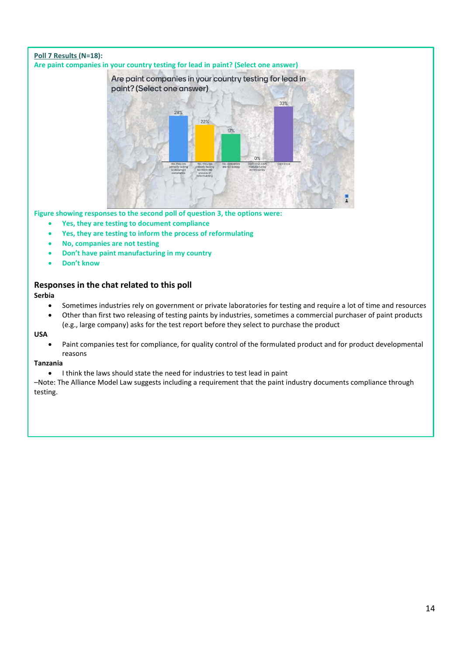### **Poll 7 Results (N=18): Are paint companies in your country testing for lead in paint? (Select one answer)** Are paint companies in your country testing for lead in paint? (Select one answer) 33% 28%  $22%$

**Figure showing responses to the second poll of question 3, the options were:**

- **Yes, they are testing to document compliance**
- **Yes, they are testing to inform the process of reformulating**
- **No, companies are not testing**
- **Don't have paint manufacturing in my country**
- **Don't know**

### **Responses in the chat related to this poll**

**Serbia**

• Sometimes industries rely on government or private laboratories for testing and require a lot of time and resources

 $17%$ 

 $O<sup>9</sup>$ 

• Other than first two releasing of testing paints by industries, sometimes a commercial purchaser of paint products (e.g., large company) asks for the test report before they select to purchase the product

**USA**

• Paint companies test for compliance, for quality control of the formulated product and for product developmental reasons

### **Tanzania**

• I think the laws should state the need for industries to test lead in paint

–Note: The Alliance Model Law suggests including a requirement that the paint industry documents compliance through testing.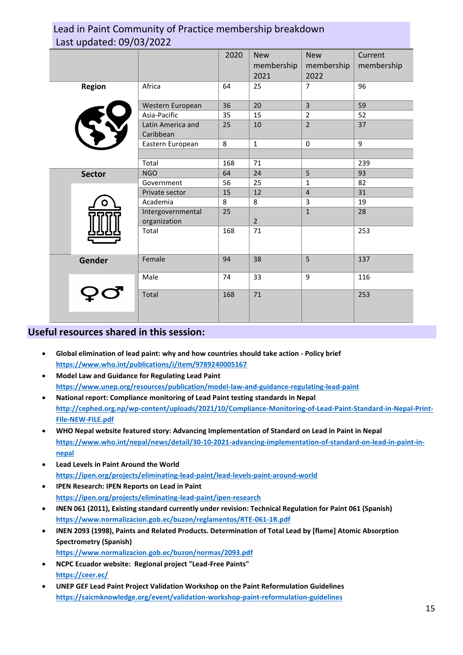## Lead in Paint Community of Practice membership breakdown Last updated: 09/03/2022

| Last apaatea. 05/05/2022 |               |                                   |      |                                  |                                  |                       |
|--------------------------|---------------|-----------------------------------|------|----------------------------------|----------------------------------|-----------------------|
|                          |               |                                   | 2020 | <b>New</b><br>membership<br>2021 | <b>New</b><br>membership<br>2022 | Current<br>membership |
|                          | Region        | Africa                            | 64   | 25                               | $\overline{7}$                   | 96                    |
|                          |               | Western European                  | 36   | 20                               | $\overline{3}$                   | 59                    |
|                          |               | Asia-Pacific                      | 35   | 15                               | $\overline{2}$                   | 52                    |
|                          |               | Latin America and<br>Caribbean    | 25   | 10                               | $\overline{2}$                   | 37                    |
|                          |               | Eastern European                  | 8    | $\mathbf{1}$                     | 0                                | 9                     |
|                          |               |                                   |      |                                  |                                  |                       |
|                          |               | Total                             | 168  | 71                               |                                  | 239                   |
|                          | <b>Sector</b> | <b>NGO</b>                        | 64   | 24                               | 5                                | 93                    |
|                          |               | Government                        | 56   | 25                               | $\mathbf{1}$                     | 82                    |
|                          |               | Private sector                    | 15   | 12                               | $\overline{4}$                   | 31                    |
|                          |               | Academia                          | 8    | 8                                | $\overline{3}$                   | 19                    |
|                          |               | Intergovernmental<br>organization | 25   | $\overline{2}$                   | $\mathbf{1}$                     | 28                    |
|                          |               | Total                             | 168  | 71                               |                                  | 253                   |
|                          | Gender        | Female                            | 94   | 38                               | 5                                | 137                   |
|                          |               | Male                              | 74   | 33                               | 9                                | 116                   |
|                          |               | Total                             | 168  | $71\,$                           |                                  | 253                   |

## **Useful resources shared in this session:**

- **Global elimination of lead paint: why and how countries should take action - Policy brief <https://www.who.int/publications/i/item/9789240005167>**
- **Model Law and Guidance for Regulating Lead Paint <https://www.unep.org/resources/publication/model-law-and-guidance-regulating-lead-paint>**
- **National report: Compliance monitoring of Lead Paint testing standards in Nepal [http://cephed.org.np/wp-content/uploads/2021/10/Compliance-Monitoring-of-Lead-Paint-Standard-in-Nepal-Print-](http://cephed.org.np/wp-content/uploads/2021/10/Compliance-Monitoring-of-Lead-Paint-Standard-in-Nepal-Print-FIle-NEW-FILE.pdf)[FIle-NEW-FILE.pdf](http://cephed.org.np/wp-content/uploads/2021/10/Compliance-Monitoring-of-Lead-Paint-Standard-in-Nepal-Print-FIle-NEW-FILE.pdf)**
- **WHO Nepal website featured story: Advancing Implementation of Standard on Lead in Paint in Nepal [https://www.who.int/nepal/news/detail/30-10-2021-advancing-implementation-of-standard-on-lead-in-paint-in](https://www.who.int/nepal/news/detail/30-10-2021-advancing-implementation-of-standard-on-lead-in-paint-in-nepal)[nepal](https://www.who.int/nepal/news/detail/30-10-2021-advancing-implementation-of-standard-on-lead-in-paint-in-nepal)**
- **Lead Levels in Paint Around the World <https://ipen.org/projects/eliminating-lead-paint/lead-levels-paint-around-world>**
- **IPEN Research: IPEN Reports on Lead in Paint <https://ipen.org/projects/eliminating-lead-paint/ipen-research>**
- **INEN 061 (2011), Existing standard currently under revision: Technical Regulation for Paint 061 (Spanish) <https://www.normalizacion.gob.ec/buzon/reglamentos/RTE-061-1R.pdf>**
- **INEN 2093 (1998), Paints and Related Products. Determination of Total Lead by [flame] Atomic Absorption Spectrometry (Spanish) <https://www.normalizacion.gob.ec/buzon/normas/2093.pdf>**
- **NCPC Ecuador website: Regional project "Lead-Free Paints" <https://ceer.ec/>**
- **UNEP GEF Lead Paint Project Validation Workshop on the Paint Reformulation Guidelines <https://saicmknowledge.org/event/validation-workshop-paint-reformulation-guidelines>**